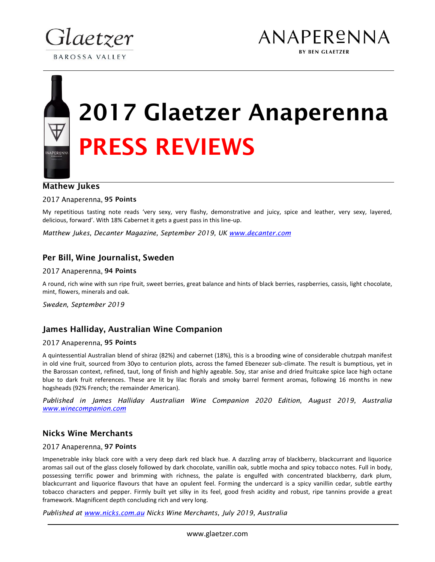



# 2017 Glaetzer Anaperenna PRESS REVIEWS

# Mathew Jukes

**NAPERENN** 

2017 Anaperenna, 95 Points

My repetitious tasting note reads 'very sexy, very flashy, demonstrative and juicy, spice and leather, very sexy, layered, delicious, forward'. With 18% Cabernet it gets a guest pass in this line-up.

*Matthew Jukes, Decanter Magazine, September 2019, UK www.decanter.com*

### Per Bill, Wine Journalist, Sweden

#### 2017 Anaperenna, 94 Points

A round, rich wine with sun ripe fruit, sweet berries, great balance and hints of black berries, raspberries, cassis, light chocolate, mint, flowers, minerals and oak.

*Sweden, September 2019*

#### James Halliday, Australian Wine Companion

#### 2017 Anaperenna, 95 Points

A quintessential Australian blend of shiraz (82%) and cabernet (18%), this is a brooding wine of considerable chutzpah manifest in old vine fruit, sourced from 30yo to centurion plots, across the famed Ebenezer sub-climate. The result is bumptious, yet in the Barossan context, refined, taut, long of finish and highly ageable. Soy, star anise and dried fruitcake spice lace high octane blue to dark fruit references. These are lit by lilac florals and smoky barrel ferment aromas, following 16 months in new hogsheads (92% French; the remainder American).

*Published in James Halliday Australian Wine Companion 2020 Edition, August 2019, Australia www.winecompanion.com*

# Nicks Wine Merchants

#### 2017 Anaperenna, 97 Points

Impenetrable inky black core with a very deep dark red black hue. A dazzling array of blackberry, blackcurrant and liquorice aromas sail out of the glass closely followed by dark chocolate, vanillin oak, subtle mocha and spicy tobacco notes. Full in body, possessing terrific power and brimming with richness, the palate is engulfed with concentrated blackberry, dark plum, blackcurrant and liquorice flavours that have an opulent feel. Forming the undercard is a spicy vanillin cedar, subtle earthy tobacco characters and pepper. Firmly built yet silky in its feel, good fresh acidity and robust, ripe tannins provide a great framework. Magnificent depth concluding rich and very long.

*Published at www.nicks.com.au Nicks Wine Merchants, July 2019, Australia*